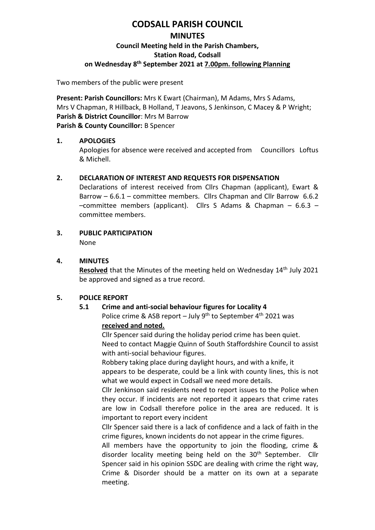# **CODSALL PARISH COUNCIL MINUTES Council Meeting held in the Parish Chambers, Station Road, Codsall on Wednesday 8 th September 2021 at 7.00pm. following Planning**

Two members of the public were present

**Present: Parish Councillors:** Mrs K Ewart (Chairman), M Adams, Mrs S Adams, Mrs V Chapman, R Hillback, B Holland, T Jeavons, S Jenkinson, C Macey & P Wright; **Parish & District Councillor**: Mrs M Barrow **Parish & County Councillor:** B Spencer

#### **1. APOLOGIES**

Apologies for absence were received and accepted from Councillors Loftus & Michell.

## **2. DECLARATION OF INTEREST AND REQUESTS FOR DISPENSATION**

Declarations of interest received from Cllrs Chapman (applicant), Ewart & Barrow – 6.6.1 – committee members. Cllrs Chapman and Cllr Barrow 6.6.2 –committee members (applicant). Cllrs S Adams & Chapman – 6.6.3 – committee members.

## **3. PUBLIC PARTICIPATION**

None

#### **4. MINUTES**

Resolved that the Minutes of the meeting held on Wednesday 14<sup>th</sup> July 2021 be approved and signed as a true record.

## **5. POLICE REPORT**

## **5.1 Crime and anti-social behaviour figures for Locality 4**

Police crime & ASB report – July  $9^{th}$  to September  $4^{th}$  2021 was **received and noted.**

Cllr Spencer said during the holiday period crime has been quiet. Need to contact Maggie Quinn of South Staffordshire Council to assist with anti-social behaviour figures.

Robbery taking place during daylight hours, and with a knife, it appears to be desperate, could be a link with county lines, this is not what we would expect in Codsall we need more details.

Cllr Jenkinson said residents need to report issues to the Police when they occur. If incidents are not reported it appears that crime rates are low in Codsall therefore police in the area are reduced. It is important to report every incident

Cllr Spencer said there is a lack of confidence and a lack of faith in the crime figures, known incidents do not appear in the crime figures.

All members have the opportunity to join the flooding, crime & disorder locality meeting being held on the 30<sup>th</sup> September. Cllr Spencer said in his opinion SSDC are dealing with crime the right way, Crime & Disorder should be a matter on its own at a separate meeting.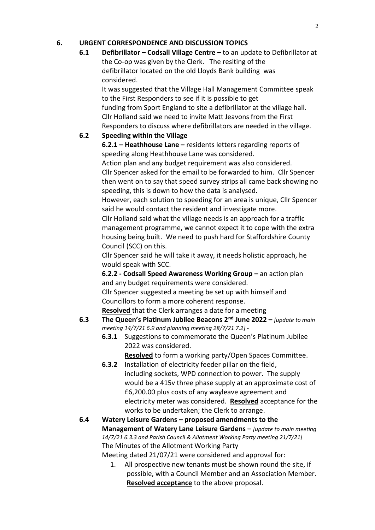## **6. URGENT CORRESPONDENCE AND DISCUSSION TOPICS**

**6.1 Defibrillator – Codsall Village Centre –** to an update to Defibrillator at the Co-op was given by the Clerk. The resiting of the defibrillator located on the old Lloyds Bank building was considered.

It was suggested that the Village Hall Management Committee speak to the First Responders to see if it is possible to get funding from Sport England to site a defibrillator at the village hall. Cllr Holland said we need to invite Matt Jeavons from the First Responders to discuss where defibrillators are needed in the village.

#### **6.2 Speeding within the Village**

**6.2.1 – Heathhouse Lane –** residents letters regarding reports of speeding along Heathhouse Lane was considered.

Action plan and any budget requirement was also considered. Cllr Spencer asked for the email to be forwarded to him. Cllr Spencer then went on to say that speed survey strips all came back showing no speeding, this is down to how the data is analysed.

However, each solution to speeding for an area is unique, Cllr Spencer said he would contact the resident and investigate more.

Cllr Holland said what the village needs is an approach for a traffic management programme, we cannot expect it to cope with the extra housing being built. We need to push hard for Staffordshire County Council (SCC) on this.

Cllr Spencer said he will take it away, it needs holistic approach, he would speak with SCC.

**6.2.2 - Codsall Speed Awareness Working Group –** an action plan and any budget requirements were considered.

Cllr Spencer suggested a meeting be set up with himself and Councillors to form a more coherent response.

**Resolved** that the Clerk arranges a date for a meeting

- **6.3 The Queen's Platinum Jubilee Beacons 2nd June 2022 –** *[update to main meeting 14/7/21 6.9 and planning meeting 28/7/21 7.2]* -
	- **6.3.1** Suggestions to commemorate the Queen's Platinum Jubilee 2022 was considered.

**Resolved** to form a working party/Open Spaces Committee.

**6.3.2** Installation of electricity feeder pillar on the field, including sockets, WPD connection to power. The supply would be a 415v three phase supply at an approximate cost of £6,200.00 plus costs of any wayleave agreement and electricity meter was considered. **Resolved** acceptance for the works to be undertaken; the Clerk to arrange.

**6.4 Watery Leisure Gardens – proposed amendments to the Management of Watery Lane Leisure Gardens –** *[update to main meeting 14/7/21 6.3.3 and Parish Council & Allotment Working Party meeting 21/7/21]* The Minutes of the Allotment Working Party Meeting dated 21/07/21 were considered and approval for:

> 1. All prospective new tenants must be shown round the site, if possible, with a Council Member and an Association Member. **Resolved acceptance** to the above proposal.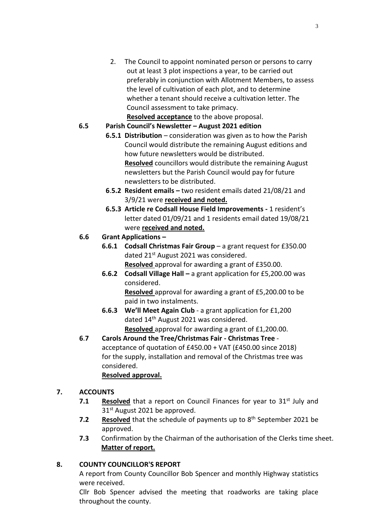2. The Council to appoint nominated person or persons to carry out at least 3 plot inspections a year, to be carried out preferably in conjunction with Allotment Members, to assess the level of cultivation of each plot, and to determine whether a tenant should receive a cultivation letter. The Council assessment to take primacy.

**Resolved acceptance** to the above proposal.

## **6.5 Parish Council's Newsletter – August 2021 edition**

- **6.5.1 Distribution** consideration was given as to how the Parish Council would distribute the remaining August editions and how future newsletters would be distributed. **Resolved** councillors would distribute the remaining August newsletters but the Parish Council would pay for future newsletters to be distributed.
- **6**.**5.2 Resident emails –** two resident emails dated 21/08/21 and 3/9/21 were **received and noted.**
- **6.5.3 Article re Codsall House Field Improvements -** 1 resident's letter dated 01/09/21 and 1 residents email dated 19/08/21 were **received and noted.**

## **6.6 Grant Applications –**

- **6.6.1 Codsall Christmas Fair Group** a grant request for £350.00 dated 21<sup>st</sup> August 2021 was considered. **Resolved** approval for awarding a grant of £350.00.
- **6.6.2 Codsall Village Hall –** a grant application for £5,200.00 was considered. **Resolved** approval for awarding a grant of £5,200.00 to be
- paid in two instalments. **6.6.3 We'll Meet Again Club** - a grant application for £1,200 dated 14<sup>th</sup> August 2021 was considered. **Resolved** approval for awarding a grant of £1,200.00.
- **6**.**7 Carols Around the Tree/Christmas Fair - Christmas Tree** acceptance of quotation of £450.00 + VAT (£450.00 since 2018) for the supply, installation and removal of the Christmas tree was considered. **Resolved approval.**

# **7. ACCOUNTS**

- **7.1 Resolved** that a report on Council Finances for year to 31<sup>st</sup> July and 31<sup>st</sup> August 2021 be approved.
- 7.2 Resolved that the schedule of payments up to 8<sup>th</sup> September 2021 be approved.
- **7.3** Confirmation by the Chairman of the authorisation of the Clerks time sheet. **Matter of report.**

## **8. COUNTY COUNCILLOR'S REPORT**

A report from County Councillor Bob Spencer and monthly Highway statistics were received.

Cllr Bob Spencer advised the meeting that roadworks are taking place throughout the county.